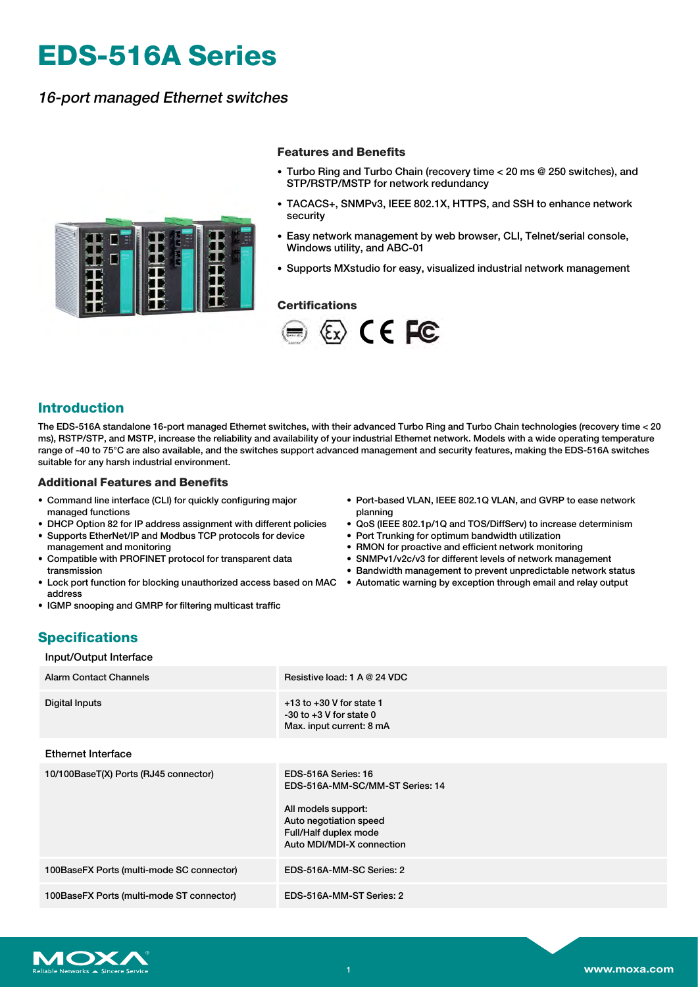# **EDS-516A Series**

### 16-port managed Ethernet switches



#### **Features and Benefits**

- Turbo Ring and Turbo Chain (recovery time < 20 ms @ 250 switches), and STP/RSTP/MSTP for network redundancy
- TACACS+, SNMPv3, IEEE 802.1X, HTTPS, and SSH to enhance network security
- Easy network management by web browser, CLI, Telnet/serial console, Windows utility, and ABC-01
- Supports MXstudio for easy, visualized industrial network management

#### **Certifications**



#### **Introduction**

The EDS-516A standalone 16-port managed Ethernet switches, with their advanced Turbo Ring and Turbo Chain technologies (recovery time < 20 ms), RSTP/STP, and MSTP, increase the reliability and availability of your industrial Ethernet network. Models with a wide operating temperature range of -40 to 75°C are also available, and the switches support advanced management and security features, making the EDS-516A switches suitable for any harsh industrial environment.

#### **Additional Features and Benefits**

- Command line interface (CLI) for quickly configuring major managed functions
- DHCP Option 82 for IP address assignment with different policies
- Supports EtherNet/IP and Modbus TCP protocols for device management and monitoring
- Compatible with PROFINET protocol for transparent data transmission
- Lock port function for blocking unauthorized access based on MAC Automatic warning by exception through email and relay output address
- IGMP snooping and GMRP for filtering multicast traffic
- Port-based VLAN, IEEE 802.1Q VLAN, and GVRP to ease network planning
- QoS (IEEE 802.1p/1Q and TOS/DiffServ) to increase determinism
- Port Trunking for optimum bandwidth utilization
- RMON for proactive and efficient network monitoring
- SNMPv1/v2c/v3 for different levels of network management
- Bandwidth management to prevent unpredictable network status
- 

# **Specifications**

#### Input/Output Interface

| <b>Alarm Contact Channels</b>             | Resistive load: 1 A @ 24 VDC                                                                                                                                  |
|-------------------------------------------|---------------------------------------------------------------------------------------------------------------------------------------------------------------|
| Digital Inputs                            | $+13$ to $+30$ V for state 1<br>$-30$ to $+3$ V for state 0<br>Max. input current: 8 mA                                                                       |
| <b>Ethernet Interface</b>                 |                                                                                                                                                               |
| 10/100BaseT(X) Ports (RJ45 connector)     | EDS-516A Series: 16<br>EDS-516A-MM-SC/MM-ST Series: 14<br>All models support:<br>Auto negotiation speed<br>Full/Half duplex mode<br>Auto MDI/MDI-X connection |
| 100BaseFX Ports (multi-mode SC connector) | EDS-516A-MM-SC Series: 2                                                                                                                                      |
| 100BaseFX Ports (multi-mode ST connector) | EDS-516A-MM-ST Series: 2                                                                                                                                      |

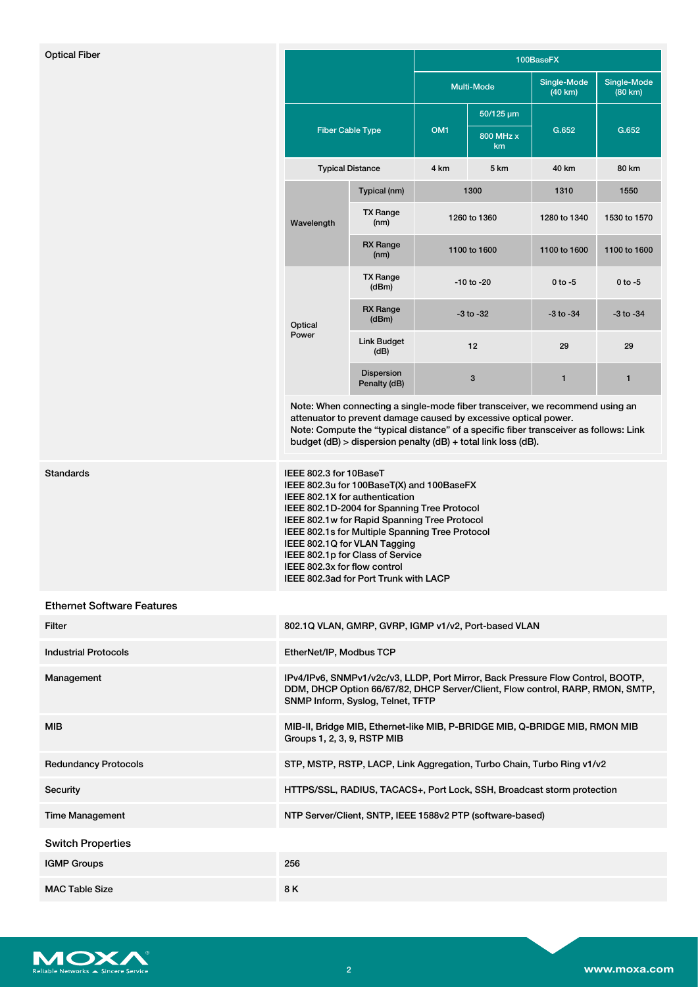| <b>Optical Fiber</b>              |                                                                                                                                                                                                                                                                                                                                                                                                      |                                                                        | 100BaseFX         |                 |                        |                        |
|-----------------------------------|------------------------------------------------------------------------------------------------------------------------------------------------------------------------------------------------------------------------------------------------------------------------------------------------------------------------------------------------------------------------------------------------------|------------------------------------------------------------------------|-------------------|-----------------|------------------------|------------------------|
|                                   |                                                                                                                                                                                                                                                                                                                                                                                                      |                                                                        | <b>Multi-Mode</b> |                 | Single-Mode<br>(40 km) | Single-Mode<br>(80 km) |
|                                   | <b>Fiber Cable Type</b>                                                                                                                                                                                                                                                                                                                                                                              |                                                                        |                   | 50/125 µm       |                        |                        |
|                                   |                                                                                                                                                                                                                                                                                                                                                                                                      |                                                                        | OM <sub>1</sub>   | 800 MHz x<br>km | G.652                  | G.652                  |
|                                   |                                                                                                                                                                                                                                                                                                                                                                                                      | <b>Typical Distance</b>                                                | 4 km              | 5 km            | 40 km                  | 80 km                  |
|                                   | Wavelength                                                                                                                                                                                                                                                                                                                                                                                           | Typical (nm)                                                           |                   | 1300            | 1310                   | 1550                   |
|                                   |                                                                                                                                                                                                                                                                                                                                                                                                      | <b>TX Range</b><br>(nm)                                                |                   | 1260 to 1360    | 1280 to 1340           | 1530 to 1570           |
|                                   |                                                                                                                                                                                                                                                                                                                                                                                                      | <b>RX Range</b><br>(nm)                                                | 1100 to 1600      |                 | 1100 to 1600           | 1100 to 1600           |
|                                   |                                                                                                                                                                                                                                                                                                                                                                                                      | <b>TX Range</b><br>(dBm)                                               |                   | $-10$ to $-20$  | $0$ to $-5$            | $0$ to $-5$            |
|                                   | Optical<br>Power                                                                                                                                                                                                                                                                                                                                                                                     | <b>RX Range</b><br>(dBm)                                               | $-3$ to $-32$     |                 | $-3$ to $-34$          | $-3$ to $-34$          |
|                                   |                                                                                                                                                                                                                                                                                                                                                                                                      | <b>Link Budget</b><br>(dB)                                             |                   | 12              | 29                     | 29                     |
|                                   |                                                                                                                                                                                                                                                                                                                                                                                                      | <b>Dispersion</b><br>Penalty (dB)                                      |                   | 3               | 1                      | $\mathbf{1}$           |
|                                   | Note: When connecting a single-mode fiber transceiver, we recommend using an<br>attenuator to prevent damage caused by excessive optical power.<br>Note: Compute the "typical distance" of a specific fiber transceiver as follows: Link<br>budget (dB) > dispersion penalty (dB) + total link loss (dB).                                                                                            |                                                                        |                   |                 |                        |                        |
| Standards                         | IEEE 802.3 for 10BaseT<br>IEEE 802.3u for 100BaseT(X) and 100BaseFX<br>IEEE 802.1X for authentication<br>IEEE 802.1D-2004 for Spanning Tree Protocol<br>IEEE 802.1w for Rapid Spanning Tree Protocol<br>IEEE 802.1s for Multiple Spanning Tree Protocol<br>IEEE 802.1Q for VLAN Tagging<br>IEEE 802.1p for Class of Service<br>IEEE 802.3x for flow control<br>IEEE 802.3ad for Port Trunk with LACP |                                                                        |                   |                 |                        |                        |
| <b>Ethernet Software Features</b> |                                                                                                                                                                                                                                                                                                                                                                                                      |                                                                        |                   |                 |                        |                        |
| Filter                            |                                                                                                                                                                                                                                                                                                                                                                                                      | 802.1Q VLAN, GMRP, GVRP, IGMP v1/v2, Port-based VLAN                   |                   |                 |                        |                        |
| <b>Industrial Protocols</b>       | EtherNet/IP, Modbus TCP                                                                                                                                                                                                                                                                                                                                                                              |                                                                        |                   |                 |                        |                        |
| Management                        | IPv4/IPv6, SNMPv1/v2c/v3, LLDP, Port Mirror, Back Pressure Flow Control, BOOTP,<br>DDM, DHCP Option 66/67/82, DHCP Server/Client, Flow control, RARP, RMON, SMTP,<br>SNMP Inform, Syslog, Telnet, TFTP                                                                                                                                                                                               |                                                                        |                   |                 |                        |                        |
| MIB                               | MIB-II, Bridge MIB, Ethernet-like MIB, P-BRIDGE MIB, Q-BRIDGE MIB, RMON MIB<br>Groups 1, 2, 3, 9, RSTP MIB                                                                                                                                                                                                                                                                                           |                                                                        |                   |                 |                        |                        |
| <b>Redundancy Protocols</b>       |                                                                                                                                                                                                                                                                                                                                                                                                      | STP, MSTP, RSTP, LACP, Link Aggregation, Turbo Chain, Turbo Ring v1/v2 |                   |                 |                        |                        |
| Security                          | HTTPS/SSL, RADIUS, TACACS+, Port Lock, SSH, Broadcast storm protection                                                                                                                                                                                                                                                                                                                               |                                                                        |                   |                 |                        |                        |
| <b>Time Management</b>            | NTP Server/Client, SNTP, IEEE 1588v2 PTP (software-based)                                                                                                                                                                                                                                                                                                                                            |                                                                        |                   |                 |                        |                        |
| <b>Switch Properties</b>          |                                                                                                                                                                                                                                                                                                                                                                                                      |                                                                        |                   |                 |                        |                        |
| <b>IGMP Groups</b>                | 256                                                                                                                                                                                                                                                                                                                                                                                                  |                                                                        |                   |                 |                        |                        |
| <b>MAC Table Size</b>             | 8K                                                                                                                                                                                                                                                                                                                                                                                                   |                                                                        |                   |                 |                        |                        |

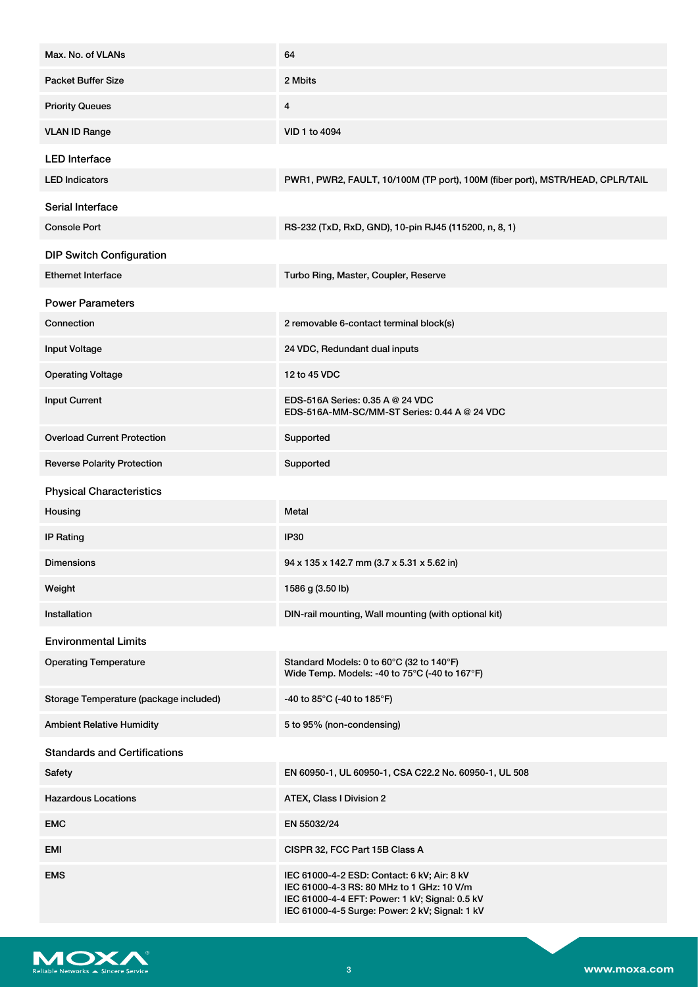| Max. No. of VLANs                      | 64                                                                                                                                                                                           |
|----------------------------------------|----------------------------------------------------------------------------------------------------------------------------------------------------------------------------------------------|
| <b>Packet Buffer Size</b>              | 2 Mbits                                                                                                                                                                                      |
| <b>Priority Queues</b>                 | 4                                                                                                                                                                                            |
| <b>VLAN ID Range</b>                   | VID 1 to 4094                                                                                                                                                                                |
| <b>LED</b> Interface                   |                                                                                                                                                                                              |
| <b>LED Indicators</b>                  | PWR1, PWR2, FAULT, 10/100M (TP port), 100M (fiber port), MSTR/HEAD, CPLR/TAIL                                                                                                                |
| Serial Interface                       |                                                                                                                                                                                              |
| <b>Console Port</b>                    | RS-232 (TxD, RxD, GND), 10-pin RJ45 (115200, n, 8, 1)                                                                                                                                        |
| <b>DIP Switch Configuration</b>        |                                                                                                                                                                                              |
| <b>Ethernet Interface</b>              | Turbo Ring, Master, Coupler, Reserve                                                                                                                                                         |
| <b>Power Parameters</b>                |                                                                                                                                                                                              |
| Connection                             | 2 removable 6-contact terminal block(s)                                                                                                                                                      |
| <b>Input Voltage</b>                   | 24 VDC, Redundant dual inputs                                                                                                                                                                |
| <b>Operating Voltage</b>               | 12 to 45 VDC                                                                                                                                                                                 |
| <b>Input Current</b>                   | EDS-516A Series: 0.35 A @ 24 VDC<br>EDS-516A-MM-SC/MM-ST Series: 0.44 A @ 24 VDC                                                                                                             |
| <b>Overload Current Protection</b>     | Supported                                                                                                                                                                                    |
| <b>Reverse Polarity Protection</b>     | Supported                                                                                                                                                                                    |
| <b>Physical Characteristics</b>        |                                                                                                                                                                                              |
| Housing                                | Metal                                                                                                                                                                                        |
| <b>IP Rating</b>                       | <b>IP30</b>                                                                                                                                                                                  |
| Dimensions                             | 94 x 135 x 142.7 mm (3.7 x 5.31 x 5.62 in)                                                                                                                                                   |
| Weight                                 | 1586 g (3.50 lb)                                                                                                                                                                             |
| Installation                           | DIN-rail mounting, Wall mounting (with optional kit)                                                                                                                                         |
| <b>Environmental Limits</b>            |                                                                                                                                                                                              |
| <b>Operating Temperature</b>           | Standard Models: 0 to 60°C (32 to 140°F)<br>Wide Temp. Models: -40 to 75°C (-40 to 167°F)                                                                                                    |
| Storage Temperature (package included) | -40 to 85°C (-40 to 185°F)                                                                                                                                                                   |
| <b>Ambient Relative Humidity</b>       | 5 to 95% (non-condensing)                                                                                                                                                                    |
| <b>Standards and Certifications</b>    |                                                                                                                                                                                              |
| Safety                                 | EN 60950-1, UL 60950-1, CSA C22.2 No. 60950-1, UL 508                                                                                                                                        |
| <b>Hazardous Locations</b>             | ATEX, Class I Division 2                                                                                                                                                                     |
| <b>EMC</b>                             | EN 55032/24                                                                                                                                                                                  |
| EMI                                    | CISPR 32, FCC Part 15B Class A                                                                                                                                                               |
| <b>EMS</b>                             | IEC 61000-4-2 ESD: Contact: 6 kV; Air: 8 kV<br>IEC 61000-4-3 RS: 80 MHz to 1 GHz: 10 V/m<br>IEC 61000-4-4 EFT: Power: 1 kV; Signal: 0.5 kV<br>IEC 61000-4-5 Surge: Power: 2 kV; Signal: 1 kV |

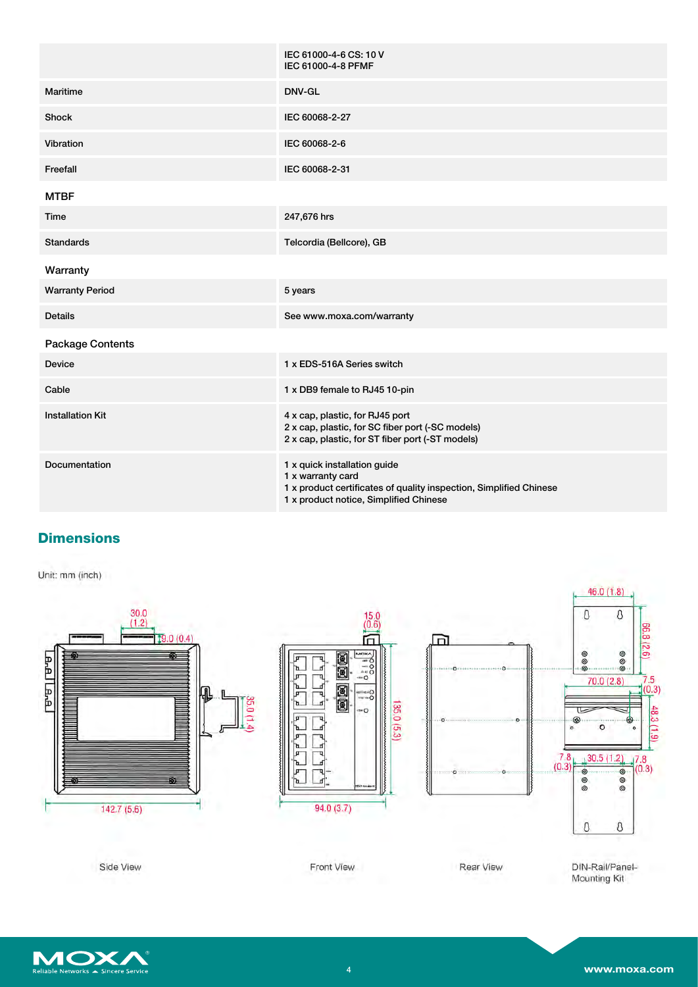|                         | IEC 61000-4-6 CS: 10 V<br>IEC 61000-4-8 PFMF                                                                                                                      |
|-------------------------|-------------------------------------------------------------------------------------------------------------------------------------------------------------------|
| Maritime                | DNV-GL                                                                                                                                                            |
| <b>Shock</b>            | IEC 60068-2-27                                                                                                                                                    |
| Vibration               | IEC 60068-2-6                                                                                                                                                     |
| Freefall                | IEC 60068-2-31                                                                                                                                                    |
| <b>MTBF</b>             |                                                                                                                                                                   |
| Time                    | 247,676 hrs                                                                                                                                                       |
| <b>Standards</b>        | Telcordia (Bellcore), GB                                                                                                                                          |
| Warranty                |                                                                                                                                                                   |
| <b>Warranty Period</b>  | 5 years                                                                                                                                                           |
| <b>Details</b>          | See www.moxa.com/warranty                                                                                                                                         |
| <b>Package Contents</b> |                                                                                                                                                                   |
| <b>Device</b>           | 1 x EDS-516A Series switch                                                                                                                                        |
| Cable                   | 1 x DB9 female to RJ45 10-pin                                                                                                                                     |
| <b>Installation Kit</b> | 4 x cap, plastic, for RJ45 port<br>2 x cap, plastic, for SC fiber port (-SC models)<br>2 x cap, plastic, for ST fiber port (-ST models)                           |
| Documentation           | 1 x quick installation guide<br>1 x warranty card<br>1 x product certificates of quality inspection, Simplified Chinese<br>1 x product notice, Simplified Chinese |

# **Dimensions**

Unit: mm (inch)